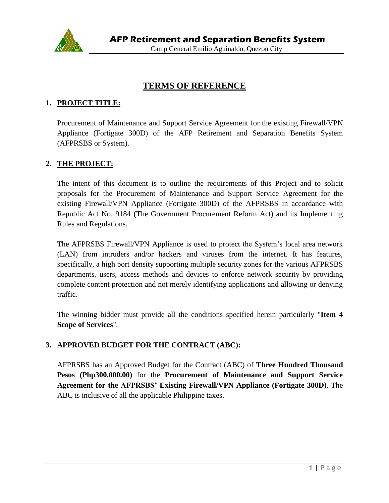

# **TERMS OF REFERENCE**

#### **1. PROJECT TITLE:**

Procurement of Maintenance and Support Service Agreement for the existing Firewall/VPN Appliance (Fortigate 300D) of the AFP Retirement and Separation Benefits System (AFPRSBS or System).

#### **2. THE PROJECT:**

The intent of this document is to outline the requirements of this Project and to solicit proposals for the Procurement of Maintenance and Support Service Agreement for the existing Firewall/VPN Appliance (Fortigate 300D) of the AFPRSBS in accordance with Republic Act No. 9184 (The Government Procurement Reform Act) and its Implementing Rules and Regulations.

The AFPRSBS Firewall/VPN Appliance is used to protect the System's local area network (LAN) from intruders and/or hackers and viruses from the internet. It has features, specifically, a high port density supporting multiple security zones for the various AFPRSBS departments, users, access methods and devices to enforce network security by providing complete content protection and not merely identifying applications and allowing or denying traffic.

The winning bidder must provide all the conditions specified herein particularly "**Item 4 Scope of Services**".

#### **3. APPROVED BUDGET FOR THE CONTRACT (ABC):**

AFPRSBS has an Approved Budget for the Contract (ABC) of **Three Hundred Thousand Pesos (Php300,000.00)** for the **Procurement of Maintenance and Support Service Agreement for the AFPRSBS' Existing Firewall/VPN Appliance (Fortigate 300D)**. The ABC is inclusive of all the applicable Philippine taxes.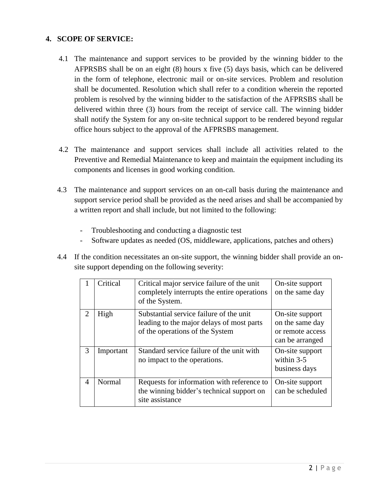## **4. SCOPE OF SERVICE:**

- 4.1 The maintenance and support services to be provided by the winning bidder to the AFPRSBS shall be on an eight (8) hours x five (5) days basis, which can be delivered in the form of telephone, electronic mail or on-site services. Problem and resolution shall be documented. Resolution which shall refer to a condition wherein the reported problem is resolved by the winning bidder to the satisfaction of the AFPRSBS shall be delivered within three (3) hours from the receipt of service call. The winning bidder shall notify the System for any on-site technical support to be rendered beyond regular office hours subject to the approval of the AFPRSBS management.
- 4.2 The maintenance and support services shall include all activities related to the Preventive and Remedial Maintenance to keep and maintain the equipment including its components and licenses in good working condition.
- 4.3 The maintenance and support services on an on-call basis during the maintenance and support service period shall be provided as the need arises and shall be accompanied by a written report and shall include, but not limited to the following:
	- Troubleshooting and conducting a diagnostic test
	- Software updates as needed (OS, middleware, applications, patches and others)
- 4.4 If the condition necessitates an on-site support, the winning bidder shall provide an onsite support depending on the following severity:

|                             | Critical  | Critical major service failure of the unit<br>completely interrupts the entire operations<br>of the System.             | On-site support<br>on the same day                                        |
|-----------------------------|-----------|-------------------------------------------------------------------------------------------------------------------------|---------------------------------------------------------------------------|
| $\mathcal{D}_{\mathcal{L}}$ | High      | Substantial service failure of the unit<br>leading to the major delays of most parts<br>of the operations of the System | On-site support<br>on the same day<br>or remote access<br>can be arranged |
| 3                           | Important | Standard service failure of the unit with<br>no impact to the operations.                                               | On-site support<br>within $3-5$<br>business days                          |
| $\overline{A}$              | Normal    | Requests for information with reference to<br>the winning bidder's technical support on<br>site assistance              | On-site support<br>can be scheduled                                       |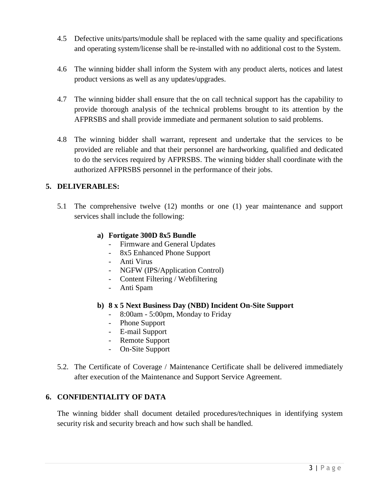- 4.5 Defective units/parts/module shall be replaced with the same quality and specifications and operating system/license shall be re-installed with no additional cost to the System.
- 4.6 The winning bidder shall inform the System with any product alerts, notices and latest product versions as well as any updates/upgrades.
- 4.7 The winning bidder shall ensure that the on call technical support has the capability to provide thorough analysis of the technical problems brought to its attention by the AFPRSBS and shall provide immediate and permanent solution to said problems.
- 4.8 The winning bidder shall warrant, represent and undertake that the services to be provided are reliable and that their personnel are hardworking, qualified and dedicated to do the services required by AFPRSBS. The winning bidder shall coordinate with the authorized AFPRSBS personnel in the performance of their jobs.

## **5. DELIVERABLES:**

5.1 The comprehensive twelve (12) months or one (1) year maintenance and support services shall include the following:

#### **a) Fortigate 300D 8x5 Bundle**

- Firmware and General Updates
- 8x5 Enhanced Phone Support
- Anti Virus
- NGFW (IPS/Application Control)
- Content Filtering / Webfiltering
- Anti Spam

#### **b) 8 x 5 Next Business Day (NBD) Incident On-Site Support**

- 8:00am 5:00pm, Monday to Friday
- Phone Support
- E-mail Support
- Remote Support
- On-Site Support
- 5.2. The Certificate of Coverage / Maintenance Certificate shall be delivered immediately after execution of the Maintenance and Support Service Agreement.

#### **6. CONFIDENTIALITY OF DATA**

The winning bidder shall document detailed procedures/techniques in identifying system security risk and security breach and how such shall be handled.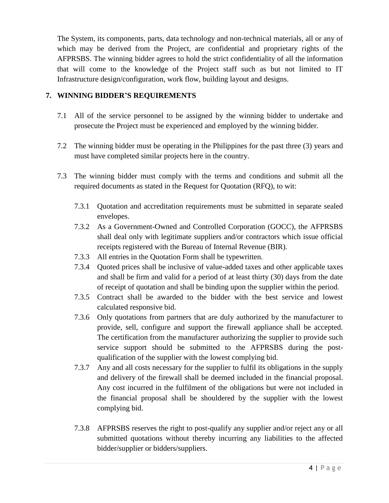The System, its components, parts, data technology and non-technical materials, all or any of which may be derived from the Project, are confidential and proprietary rights of the AFPRSBS. The winning bidder agrees to hold the strict confidentiality of all the information that will come to the knowledge of the Project staff such as but not limited to IT Infrastructure design/configuration, work flow, building layout and designs.

# **7. WINNING BIDDER'S REQUIREMENTS**

- 7.1 All of the service personnel to be assigned by the winning bidder to undertake and prosecute the Project must be experienced and employed by the winning bidder.
- 7.2 The winning bidder must be operating in the Philippines for the past three (3) years and must have completed similar projects here in the country.
- 7.3 The winning bidder must comply with the terms and conditions and submit all the required documents as stated in the Request for Quotation (RFQ), to wit:
	- 7.3.1 Quotation and accreditation requirements must be submitted in separate sealed envelopes.
	- 7.3.2 As a Government-Owned and Controlled Corporation (GOCC), the AFPRSBS shall deal only with legitimate suppliers and/or contractors which issue official receipts registered with the Bureau of Internal Revenue (BIR).
	- 7.3.3 All entries in the Quotation Form shall be typewritten.
	- 7.3.4 Quoted prices shall be inclusive of value-added taxes and other applicable taxes and shall be firm and valid for a period of at least thirty (30) days from the date of receipt of quotation and shall be binding upon the supplier within the period.
	- 7.3.5 Contract shall be awarded to the bidder with the best service and lowest calculated responsive bid.
	- 7.3.6 Only quotations from partners that are duly authorized by the manufacturer to provide, sell, configure and support the firewall appliance shall be accepted. The certification from the manufacturer authorizing the supplier to provide such service support should be submitted to the AFPRSBS during the postqualification of the supplier with the lowest complying bid.
	- 7.3.7 Any and all costs necessary for the supplier to fulfil its obligations in the supply and delivery of the firewall shall be deemed included in the financial proposal. Any cost incurred in the fulfilment of the obligations but were not included in the financial proposal shall be shouldered by the supplier with the lowest complying bid.
	- 7.3.8 AFPRSBS reserves the right to post-qualify any supplier and/or reject any or all submitted quotations without thereby incurring any liabilities to the affected bidder/supplier or bidders/suppliers.